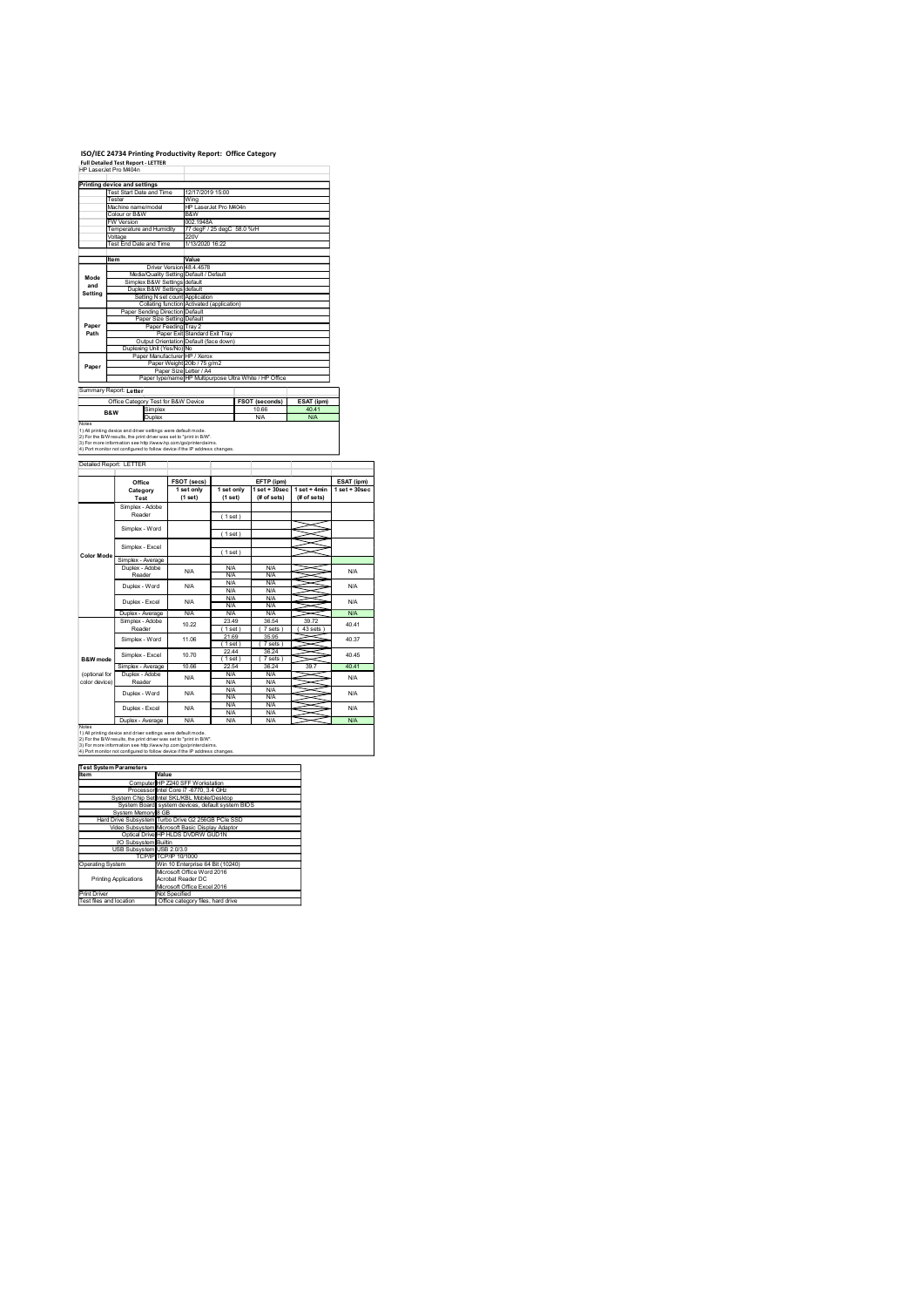## ISO/IEC 24734 Printing Productivity Report: Office Category Full Detailed Test Report - LETTER

|                                                       | ISO/IEC 24734 Printing Productivity Report: Office Category<br>Full Detailed Test Report - LETTER<br>HP LaserJet Pro M404n                                                                                                                                                            |                                                                                                                                             |                                                                                   |                                                             |                                              |                                 |
|-------------------------------------------------------|---------------------------------------------------------------------------------------------------------------------------------------------------------------------------------------------------------------------------------------------------------------------------------------|---------------------------------------------------------------------------------------------------------------------------------------------|-----------------------------------------------------------------------------------|-------------------------------------------------------------|----------------------------------------------|---------------------------------|
|                                                       | Printing device and settings<br>Test Start Date and Time<br>Tester<br>Machine name/model<br>Colour or B&W                                                                                                                                                                             | Wing<br>B&W                                                                                                                                 | 12/17/2019 15:00<br>HP LaserJet Pro M404n                                         |                                                             |                                              |                                 |
|                                                       | <b>W</b> Version<br>Temperature and Humidity<br>Voltage<br>Test End Date and Time                                                                                                                                                                                                     | 002.1948A<br>220V                                                                                                                           | 77 degF / 25 degC 58.0 %rH<br>1/13/2020 16:22                                     |                                                             |                                              |                                 |
| Mode<br>and                                           | ltem                                                                                                                                                                                                                                                                                  | Value<br>Driver Version 48.4.4578<br>Media/Quality Setting Default / Default<br>Simplex B&W Settings default                                |                                                                                   |                                                             |                                              |                                 |
| Setting                                               | Paper Sending Direction Default                                                                                                                                                                                                                                                       | Duplex B&W Settings default<br>Setting N set count Application<br>Collating function Activated (application)<br>Paper Size Setting Default  |                                                                                   |                                                             |                                              |                                 |
| Paper<br>Path                                         | Duplexing Unit (Yes/No) No                                                                                                                                                                                                                                                            | Paper Feeding Tray 2<br>Paper Exit Standard Exit Tray<br>Output Orientation Default (face down)<br>Paper Manufacturer HP / Xerox            |                                                                                   |                                                             |                                              |                                 |
| Paper                                                 | Summary Report: Letter                                                                                                                                                                                                                                                                | Paper Weight 20lb / 75 g/m2                                                                                                                 | Paper Size Letter / A4<br>Paper type/name HP Multipurpose Ultra White / HP Office |                                                             |                                              |                                 |
| Notes                                                 | Office Category Test for B&W Device<br>Simplex<br>B&W<br>Duplex                                                                                                                                                                                                                       |                                                                                                                                             |                                                                                   | <b>FSOT (seconds)</b><br>10.66<br>N/A                       | ESAT (ipm)<br>40.41<br>N/A                   |                                 |
|                                                       | 1) All printing device and driver settings were default mode.<br>2) For the B/W results, the print driver was set to "print in B/W".<br>3) For more information see http://www.hp.com/go/printerclaims.<br>4) Port monitor not configured to follow device if the IP address changes. |                                                                                                                                             |                                                                                   |                                                             |                                              |                                 |
|                                                       | Detailed Report: LETTER<br>Office<br>Category                                                                                                                                                                                                                                         | <b>FSOT (secs)</b><br>1 set only                                                                                                            | 1 set only                                                                        | EFTP (ipm)                                                  | 1 set + 30sec   1 set + 4min   1 set + 30sec | ESAT (ipm)                      |
|                                                       | Test<br>Simplex - Adobe<br>Reader                                                                                                                                                                                                                                                     | (1 set)                                                                                                                                     | (1 set)<br>(1 set)                                                                | (# of sets)                                                 | $#$ of sets)                                 |                                 |
| <b>Color Mode</b>                                     | Simplex - Word<br>Simplex - Excel                                                                                                                                                                                                                                                     |                                                                                                                                             | (1 set)<br>(1 set)                                                                |                                                             |                                              |                                 |
|                                                       | Simplex - Average<br>Duplex - Adobe<br>Reader<br>Duplex - Word                                                                                                                                                                                                                        | <b>N/A</b><br><b>N/A</b>                                                                                                                    | <b>N/A</b><br><b>N/A</b><br><b>N/A</b><br><b>N/A</b>                              | <b>N/A</b><br><b>N/A</b><br><b>N/A</b><br><b>N/A</b>        |                                              | <b>N/A</b><br><b>N/A</b>        |
|                                                       | Duplex - Excel<br>Duplex - Average<br>Simplex - Adobe                                                                                                                                                                                                                                 | <b>N/A</b><br><b>N/A</b>                                                                                                                    | <b>N/A</b><br>N/A<br><b>N/A</b><br>23.49                                          | <b>N/A</b><br>N/A<br><b>N/A</b><br>36.54                    | X<br>39.72                                   | <b>N/A</b><br>N/A               |
|                                                       | Reader<br>Simplex - Word<br>Simplex - Excel                                                                                                                                                                                                                                           | 10.22<br>11.06<br>10.70                                                                                                                     | (1 set)<br>21.69<br>(1 set)<br>22.44                                              | (7 sets)<br>35.95<br>(7 sets)<br>36.24                      | (43 sets)<br>≂<br>∍<br>X<br>∍<br>~           | 40.41<br>40.37<br>40.45         |
| <b>B&amp;W</b> mode<br>(optional for<br>color device) | Simplex - Average<br>Duplex - Adobe<br>Reader                                                                                                                                                                                                                                         | 10.66<br><b>N/A</b>                                                                                                                         | (1 set)<br>22.54<br>N/A<br><b>N/A</b><br><b>N/A</b>                               | (7 sets)<br>36.24<br><b>N/A</b><br><b>N/A</b><br><b>N/A</b> | ~<br>39.7<br>≍<br>≂                          | 40.41<br><b>N/A</b>             |
|                                                       | Duplex - Word<br>Duplex - Excel<br>Duplex - Average                                                                                                                                                                                                                                   | <b>N/A</b><br><b>N/A</b><br><b>N/A</b>                                                                                                      | <b>N/A</b><br><b>N/A</b><br><b>N/A</b><br><b>N/A</b>                              | <b>N/A</b><br><b>N/A</b><br><b>N/A</b><br><b>N/A</b>        | ∍                                            | <b>N/A</b><br><b>N/A</b><br>N/A |
| Notes                                                 | 1) All printing device and driver settings were default mode.<br>2) For the B/W results, the print driver was set to "print in B/W".<br>3) For more information see http://www.hp.com/go/printerclaims.<br>4) Port monitor not configured to follow device if the IP address changes. |                                                                                                                                             |                                                                                   |                                                             |                                              |                                 |
| Item                                                  | <b>Test System Parameters</b>                                                                                                                                                                                                                                                         | Value<br>Computer HP Z240 SFF Workstation<br>Processor Intel Core i7 -6770, 3.4 GHz                                                         |                                                                                   |                                                             |                                              |                                 |
|                                                       | System Chip Set Intel SKL/KBL Mobile/Desktop<br>System Board system devices, default system BIOS<br>System Memory 8 GB<br>Hard Drive Subsystem Turbo Drive G2 256GB PCIe SSD                                                                                                          |                                                                                                                                             |                                                                                   |                                                             |                                              |                                 |
|                                                       | Video Subsystem Microsoft Basic Display Adaptor                                                                                                                                                                                                                                       | Optical Drive HP HLDS DVDRW GUD1N                                                                                                           |                                                                                   |                                                             |                                              |                                 |
|                                                       | VO Subsystem Builtin<br>USB Subsystem USB 2.0/3.0                                                                                                                                                                                                                                     |                                                                                                                                             |                                                                                   |                                                             |                                              |                                 |
| Operating System                                      | <b>Printing Applications</b>                                                                                                                                                                                                                                                          | TCP/IP TCP/IP 10/1000<br>Win 10 Enterprise 64 Bit (10240)<br>Microsoft Office Word 2016<br>Acrobat Reader DC<br>Microsoft Office Excel 2016 |                                                                                   |                                                             |                                              |                                 |
|                                                       | Print Driver<br>Test files and location                                                                                                                                                                                                                                               | Not Specified<br>Office category files, hard drive                                                                                          |                                                                                   |                                                             |                                              |                                 |
|                                                       |                                                                                                                                                                                                                                                                                       |                                                                                                                                             |                                                                                   |                                                             |                                              |                                 |

| Item                        | Value                                              |
|-----------------------------|----------------------------------------------------|
|                             | Computer HP Z240 SFF Workstation                   |
|                             | Processor Intel Core i7 -6770, 3.4 GHz             |
|                             | System Chip Set Intel SKL/KBL Mobile/Desktop       |
|                             | System Board system devices, default system BIOS   |
| System Memory 8 GB          |                                                    |
|                             | Hard Drive Subsystem Turbo Drive G2 256GB PCle SSD |
|                             | Video Subsystem Microsoft Basic Display Adaptor    |
|                             | Optical Drive HP HLDS DVDRW GUD1N                  |
| <b>VO Subsystem Builtin</b> |                                                    |
| USB Subsystem USB 2.0/3.0   |                                                    |
|                             | TCP/IP TCP/IP 10/1000                              |
| <b>Operating System</b>     | Win 10 Enterprise 64 Bit (10240)                   |
|                             | Microsoft Office Word 2016                         |
| Printing Applications       | Acrobat Reader DC                                  |
|                             | Microsoft Office Excel 2016                        |
| Print Driver                | Not Specified                                      |
| Test files and location     | Office category files, hard drive                  |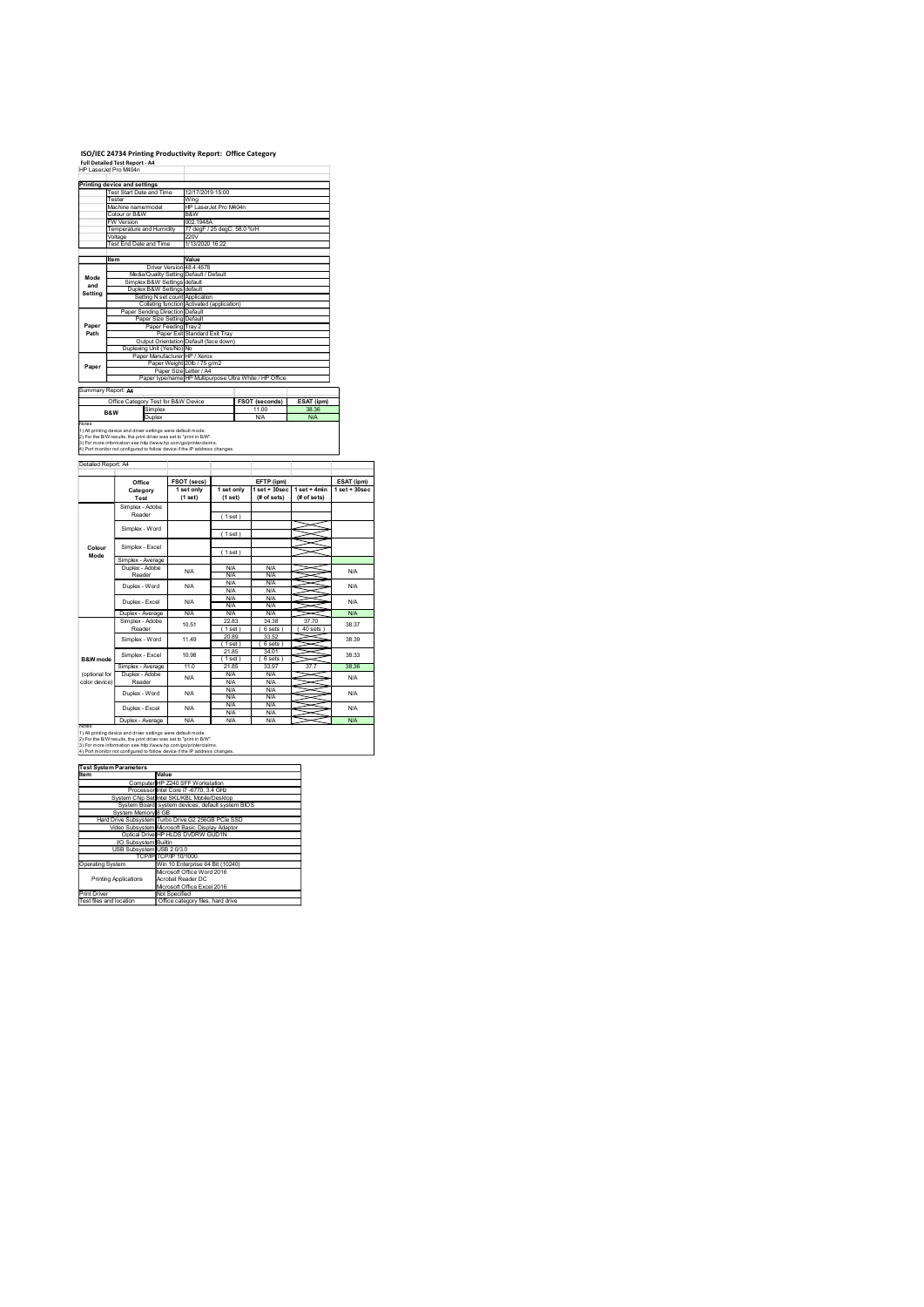# ISO/IEC 24734 Printing Productivity Report: Office Category

|                           | ISO/IEC 24734 Printing Productivity Report: Office Category<br>Full Detailed Test Report - A4<br>HP LaserJet Pro M404n                                                                                                                                                                                    |                                                                                                                                                         |                                              |                                                                                   |                                                                    |                                                              |                                        |
|---------------------------|-----------------------------------------------------------------------------------------------------------------------------------------------------------------------------------------------------------------------------------------------------------------------------------------------------------|---------------------------------------------------------------------------------------------------------------------------------------------------------|----------------------------------------------|-----------------------------------------------------------------------------------|--------------------------------------------------------------------|--------------------------------------------------------------|----------------------------------------|
|                           | Printing device and settings<br>Test Start Date and Time<br>Tester<br>Machine name/model<br>Colour or B&W<br><b>W</b> Version                                                                                                                                                                             |                                                                                                                                                         | 12/17/2019 15:00<br>Wing<br>B&W<br>002.1948A | HP LaserJet Pro M404n                                                             |                                                                    |                                                              |                                        |
|                           | Temperature and Humidity<br>Voltage<br>Test End Date and Time<br>ltem                                                                                                                                                                                                                                     | Driver Version 48.4.4578                                                                                                                                | 220V<br>1/13/2020 16:22<br>Value             | 77 degF / 25 degC 58.0 %rH                                                        |                                                                    |                                                              |                                        |
| Mode<br>and<br>Setting    | Simplex B&W Settings default<br>Paper Sending Direction Default                                                                                                                                                                                                                                           | Media/Quality Setting Default / Default<br>Duplex B&W Settings default<br>Setting N set count Application<br>Collating function Activated (application) |                                              |                                                                                   |                                                                    |                                                              |                                        |
| Paper<br>Path             | Duplexing Unit (Yes/No) No                                                                                                                                                                                                                                                                                | Paper Size Setting Default<br>Paper Feeding Tray 2<br>Paper Exit Standard Exit Tray<br>Output Orientation Default (face down)                           |                                              |                                                                                   |                                                                    |                                                              |                                        |
| Paper                     | Summary Report: A4                                                                                                                                                                                                                                                                                        | Paper Manufacturer HP / Xerox<br>Paper Weight 20lb / 75 g/m2                                                                                            |                                              | Paper Size Letter / A4<br>Paper type/name HP Multipurpose Ultra White / HP Office |                                                                    |                                                              |                                        |
| Notes                     | Office Category Test for B&W Device<br>Simplex<br>B&W<br>Duplex<br>1) All printing device and driver settings were default mode.<br>2) For the B/W results, the print driver was set to "print in B/W".                                                                                                   |                                                                                                                                                         |                                              |                                                                                   | FSOT (seconds)<br>11.00<br>N/A                                     | ESAT (ipm)<br>38.36<br>N/A                                   |                                        |
| Detailed Report: A4       | 3) For more information see http://www.hp.com/go/printerclaims.<br>4) Port monitor not configured to follow device if the IP address changes.                                                                                                                                                             |                                                                                                                                                         |                                              |                                                                                   |                                                                    |                                                              |                                        |
|                           | Office<br>Category<br>Test<br>Simplex - Adobe                                                                                                                                                                                                                                                             |                                                                                                                                                         | <b>FSOT (secs)</b><br>1 set only<br>(1 set)  | 1 set only<br>(1 set)                                                             | EFTP (ipm)<br>(# of sets)                                          | 1 set + 30sec   1 set + 4min   1 set + 30sec<br>$#$ of sets) | ESAT (ipm)                             |
| Colour                    | Reader<br>Simplex - Word<br>Simplex - Excel                                                                                                                                                                                                                                                               |                                                                                                                                                         |                                              | (1 set)<br>(1 set)                                                                |                                                                    |                                                              |                                        |
| Mode                      | Simplex - Average<br>Duplex - Adobe<br>Reader<br>Duplex - Word                                                                                                                                                                                                                                            |                                                                                                                                                         | <b>N/A</b><br><b>N/A</b>                     | (1 set)<br><b>N/A</b><br><b>N/A</b><br><b>N/A</b><br><b>N/A</b>                   | <b>N/A</b><br><b>N/A</b><br><b>N/A</b><br><b>N/A</b>               |                                                              | <b>N/A</b><br><b>N/A</b>               |
|                           | Duplex - Excel<br>Duplex - Average<br>Simplex - Adobe<br>Reader                                                                                                                                                                                                                                           |                                                                                                                                                         | <b>N/A</b><br><b>N/A</b><br>10.51            | <b>N/A</b><br>N/A<br><b>N/A</b><br>22.83<br>(1 set)                               | <b>N/A</b><br>N/A<br><b>N/A</b><br>34.38<br>(6 sets)               | X<br>37.70<br>(40 sets)                                      | <b>N/A</b><br><b>N/A</b><br>38.37      |
| B&W mode<br>(optional for | Simplex - Word<br>Simplex - Excel<br>Simplex - Average<br>Duplex - Adobe                                                                                                                                                                                                                                  |                                                                                                                                                         | 11.49<br>10.98<br>11.0                       | 20.89<br>(1 set)<br>21.85<br>(1 set)<br>21.85<br><b>N/A</b>                       | 33.52<br>(6 sets)<br>34.01<br>(6 sets)<br>33.97<br><b>N/A</b>      | ≂<br>∍<br>X<br>∍<br>~<br>~<br>37.7<br>≍                      | 38.39<br>38.33<br>38.36                |
| color device)             | Reader<br>Duplex - Word<br>Duplex - Excel                                                                                                                                                                                                                                                                 |                                                                                                                                                         | <b>N/A</b><br><b>N/A</b><br><b>N/A</b>       | <b>N/A</b><br><b>N/A</b><br><b>N/A</b><br><b>N/A</b><br><b>N/A</b>                | <b>N/A</b><br><b>N/A</b><br><b>N/A</b><br><b>N/A</b><br><b>N/A</b> | ≂<br>∍                                                       | <b>N/A</b><br><b>N/A</b><br><b>N/A</b> |
| Notes                     | Duplex - Average<br>1) All printing device and driver settings were default mode.<br>2) For the B/W results, the print driver was set to "print in B/W".<br>3) For more information see http://www.hp.com/go/printerclaims.<br>4) Port monitor not configured to follow device if the IP address changes. |                                                                                                                                                         | <b>N/A</b>                                   | <b>N/A</b>                                                                        | <b>N/A</b>                                                         |                                                              | N/A                                    |
| Item                      | <b>Test System Parameters</b><br>System Chip Set Intel SKL/KBL Mobile/Desktop                                                                                                                                                                                                                             | Value<br>Computer HP Z240 SFF Workstation<br>Processor Intel Core i7 -6770, 3.4 GHz                                                                     |                                              |                                                                                   |                                                                    |                                                              |                                        |
|                           | System Board system devices, default system BIOS<br>System Memory 8 GB<br>Hard Drive Subsystem Turbo Drive G2 256GB PCIe SSD<br>Video Subsystem Microsoft Basic Display Adaptor<br>Optical Drive HP HLDS DVDRW GUD1N                                                                                      |                                                                                                                                                         |                                              |                                                                                   |                                                                    |                                                              |                                        |
| Operating System          | VO Subsystem Builtin<br>USB Subsystem USB 2.0/3.0<br><b>Printing Applications</b>                                                                                                                                                                                                                         | TCP/IP TCP/IP 10/1000<br>Win 10 Enterprise 64 Bit (10240)<br>Microsoft Office Word 2016<br>Acrobat Reader DC                                            |                                              |                                                                                   |                                                                    |                                                              |                                        |
|                           | Print Driver<br>Test files and location                                                                                                                                                                                                                                                                   | Microsoft Office Excel 2016<br>Not Specified<br>Office category files, hard drive                                                                       |                                              |                                                                                   |                                                                    |                                                              |                                        |
|                           |                                                                                                                                                                                                                                                                                                           |                                                                                                                                                         |                                              |                                                                                   |                                                                    |                                                              |                                        |
|                           |                                                                                                                                                                                                                                                                                                           |                                                                                                                                                         |                                              |                                                                                   |                                                                    |                                                              |                                        |

| Item                         | Value                                              |
|------------------------------|----------------------------------------------------|
|                              | Computer HP Z240 SFF Workstation                   |
|                              | Processor Intel Core i7 -6770, 3.4 GHz             |
|                              | System Chip Set Intel SKL/KBL Mobile/Desktop       |
|                              | System Board system devices, default system BIOS   |
| System Memory 8 GB           |                                                    |
|                              | Hard Drive Subsystem Turbo Drive G2 256GB PCle SSD |
|                              | Video Subsystem Microsoft Basic Display Adaptor    |
|                              | Optical Drive HP HLDS DVDRW GUD1N                  |
| <b>VO Subsystem Builtin</b>  |                                                    |
| USB Subsystem USB 2.0/3.0    |                                                    |
|                              | TCP/IPITCP/IP 10/1000                              |
| <b>Operating System</b>      | Win 10 Enterprise 64 Bit (10240)                   |
|                              | Microsoft Office Word 2016                         |
| <b>Printing Applications</b> | Acrobat Reader DC                                  |
|                              | Microsoft Office Excel 2016                        |
| <b>Print Driver</b>          | Not Specified                                      |
| Tool floo and location       | Office entered flee hard drive                     |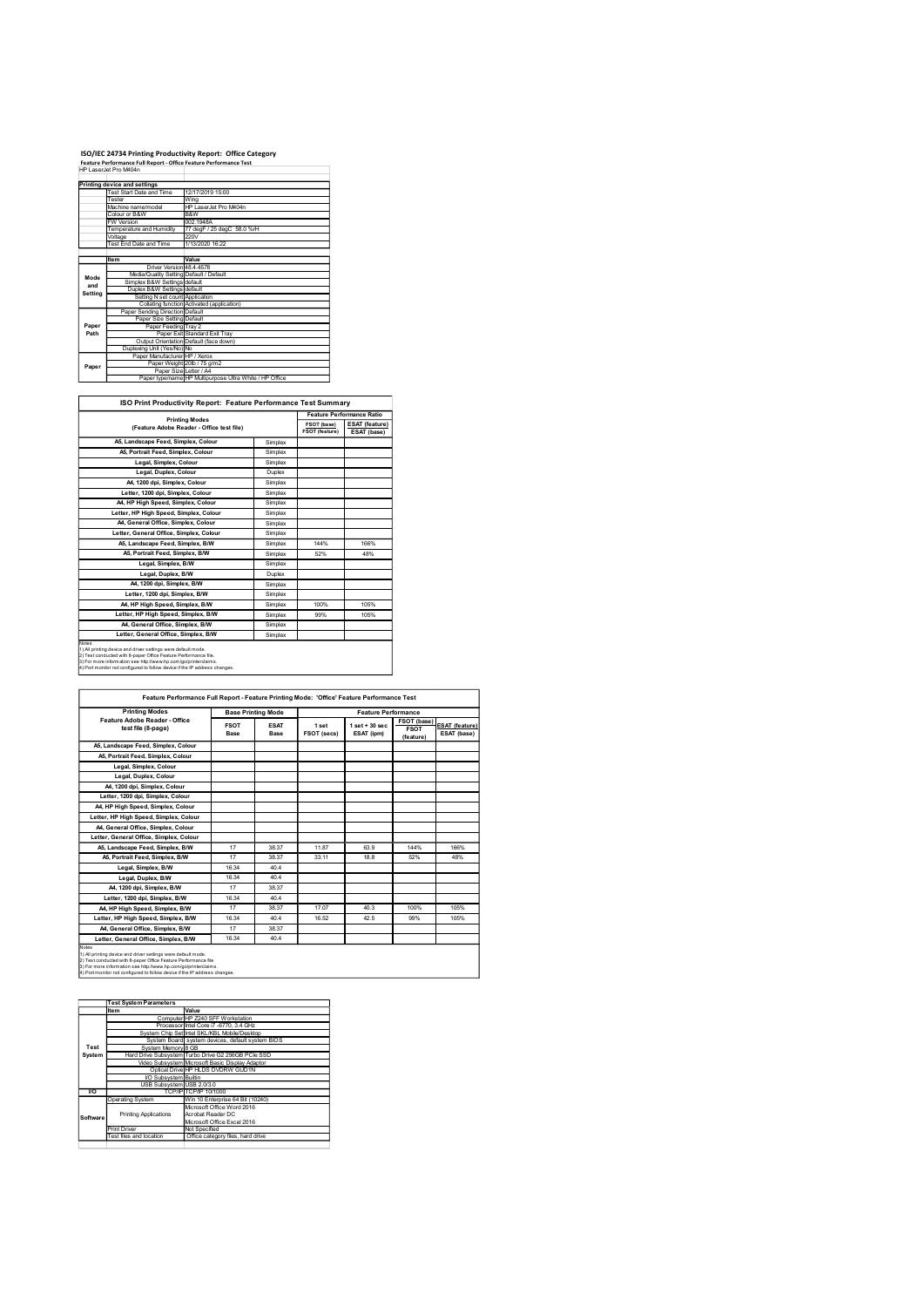### ISO/IEC 24734 Printing Productivity Report: Office Category Feature Performance Full Report - Office Feature Performance Test

|             | ISO/IEC 24734 Printing Productivity Report: Office Category                                |                                                                                   |                    |                               |                                      |
|-------------|--------------------------------------------------------------------------------------------|-----------------------------------------------------------------------------------|--------------------|-------------------------------|--------------------------------------|
|             | Feature Performance Full Report - Office Feature Performance Test<br>HP LaserJet Pro M404n |                                                                                   |                    |                               |                                      |
|             |                                                                                            |                                                                                   |                    |                               |                                      |
|             |                                                                                            |                                                                                   |                    |                               |                                      |
|             | Printing device and settings<br><b>Test Start Date and Time</b>                            | 12/17/2019 15:00                                                                  |                    |                               |                                      |
|             | Tester<br>Machine name/model                                                               | Wing<br>HP LaserJet Pro M404n                                                     |                    |                               |                                      |
|             | Colour or B&W<br><b>FW Version</b>                                                         | B&W<br>002.1948A                                                                  |                    |                               |                                      |
|             | Temperature and Humidity                                                                   | 77 degF / 25 degC 58.0 %rH<br>220V                                                |                    |                               |                                      |
|             | Voltage<br>Test End Date and Time                                                          | 1/13/2020 16:22                                                                   |                    |                               |                                      |
|             | Item                                                                                       | Value                                                                             |                    |                               |                                      |
|             | Driver Version 48.4.4578<br>Media/Quality Setting Default / Default                        |                                                                                   |                    |                               |                                      |
| Mode<br>and | Simplex B&W Settings default                                                               |                                                                                   |                    |                               |                                      |
| Setting     | Duplex B&W Settings default<br>Setting N set count Application                             |                                                                                   |                    |                               |                                      |
|             | Paper Sending Direction Default                                                            | Collating function Activated (application)                                        |                    |                               |                                      |
| Paper       | Paper Size Setting Default<br>Paper Feeding Tray 2                                         |                                                                                   |                    |                               |                                      |
| Path        |                                                                                            | Paper Exit Standard Exit Tray                                                     |                    |                               |                                      |
|             | Duplexing Unit (Yes/No) No                                                                 | Output Orientation Default (face down)                                            |                    |                               |                                      |
| Paper       | Paper Manufacturer HP / Xerox                                                              | Paper Weight 20lb / 75 g/m2                                                       |                    |                               |                                      |
|             |                                                                                            | Paper Size Letter / A4<br>Paper type/name HP Multipurpose Ultra White / HP Office |                    |                               |                                      |
|             |                                                                                            |                                                                                   |                    |                               |                                      |
|             |                                                                                            | ISO Print Productivity Report: Feature Performance Test Summary                   |                    |                               |                                      |
|             |                                                                                            | <b>Printing Modes</b>                                                             |                    |                               | Feature Performance Ratio            |
|             |                                                                                            | (Feature Adobe Reader - Office test file)                                         |                    | FSOT (base)<br>FSOT (feature) | <b>ESAT</b> (feature)<br>ESAT (base) |
|             | A5, Landscape Feed, Simplex, Colour                                                        |                                                                                   | Simplex            |                               |                                      |
|             | A5, Portrait Feed, Simplex, Colour<br>Legal, Simplex, Colour                               |                                                                                   | Simplex<br>Simplex |                               |                                      |

|         | ISO/IEC 24734 Printing Productivity Report: Office Category<br>Feature Performance Full Report - Office Feature Performance Test                                                                                                                                                  |                                                                                            |                                                         |                |                           |
|---------|-----------------------------------------------------------------------------------------------------------------------------------------------------------------------------------------------------------------------------------------------------------------------------------|--------------------------------------------------------------------------------------------|---------------------------------------------------------|----------------|---------------------------|
|         | HP LaserJet Pro M404n                                                                                                                                                                                                                                                             |                                                                                            |                                                         |                |                           |
|         | Printing device and settings                                                                                                                                                                                                                                                      |                                                                                            |                                                         |                |                           |
|         | Test Start Date and Time                                                                                                                                                                                                                                                          | 12/17/2019 15:00                                                                           |                                                         |                |                           |
|         | Tester<br>Machine name/model                                                                                                                                                                                                                                                      | <b>Wing</b><br>HP LaserJet Pro M404n                                                       |                                                         |                |                           |
|         | Colour or B&W                                                                                                                                                                                                                                                                     | B&W                                                                                        |                                                         |                |                           |
|         | FW Version                                                                                                                                                                                                                                                                        | 002.1948A<br>77 degF / 25 degC 58.0 %rH                                                    |                                                         |                |                           |
|         | <b>Temperature and Humidity</b><br>Voltage                                                                                                                                                                                                                                        | 220V                                                                                       |                                                         |                |                           |
|         | Test End Date and Time                                                                                                                                                                                                                                                            | 1/13/2020 16:22                                                                            |                                                         |                |                           |
|         | Item                                                                                                                                                                                                                                                                              | Value                                                                                      |                                                         |                |                           |
|         | Driver Version 48.4.4578                                                                                                                                                                                                                                                          |                                                                                            |                                                         |                |                           |
| Mode    | Media/Quality Setting Default / Default                                                                                                                                                                                                                                           |                                                                                            |                                                         |                |                           |
| and     | Simplex B&W Settings default<br>Duplex B&W Settings default                                                                                                                                                                                                                       |                                                                                            |                                                         |                |                           |
| Setting | Setting N set count Application                                                                                                                                                                                                                                                   |                                                                                            |                                                         |                |                           |
|         | Paper Sending Direction Default                                                                                                                                                                                                                                                   | Collating function Activated (application)                                                 |                                                         |                |                           |
|         | Paper Size Setting Default                                                                                                                                                                                                                                                        |                                                                                            |                                                         |                |                           |
| Paper   | Paper Feeding Tray 2                                                                                                                                                                                                                                                              |                                                                                            |                                                         |                |                           |
| Path    | Output Orientation Default (face down)                                                                                                                                                                                                                                            | Paper Exit Standard Exit Tray                                                              |                                                         |                |                           |
|         | Duplexing Unit (Yes/No) No                                                                                                                                                                                                                                                        |                                                                                            |                                                         |                |                           |
|         | Paper Manufacturer HP / Xerox                                                                                                                                                                                                                                                     |                                                                                            | Paper Weight 20lb / 75 g/m2                             |                |                           |
| Paper   | Paper Size Letter / A4                                                                                                                                                                                                                                                            |                                                                                            | Paper type/name HP Multipurpose Ultra White / HP Office |                |                           |
|         |                                                                                                                                                                                                                                                                                   |                                                                                            |                                                         |                |                           |
|         |                                                                                                                                                                                                                                                                                   |                                                                                            |                                                         |                |                           |
|         | ISO Print Productivity Report: Feature Performance Test Summary                                                                                                                                                                                                                   |                                                                                            |                                                         |                |                           |
|         |                                                                                                                                                                                                                                                                                   |                                                                                            |                                                         |                | Feature Performance Ratio |
|         |                                                                                                                                                                                                                                                                                   | <b>Printing Modes</b>                                                                      |                                                         | FSOT (base)    | ESAT (feature)            |
|         |                                                                                                                                                                                                                                                                                   | (Feature Adobe Reader - Office test file)                                                  |                                                         | FSOT (feature) | ESAT (base)               |
|         | A5, Landscape Feed, Simplex, Colour                                                                                                                                                                                                                                               |                                                                                            | Simplex                                                 |                |                           |
|         | A5, Portrait Feed, Simplex, Colour                                                                                                                                                                                                                                                |                                                                                            | Simplex                                                 |                |                           |
|         | Legal, Simplex, Colour                                                                                                                                                                                                                                                            |                                                                                            | Simplex                                                 |                |                           |
|         | Legal, Duplex, Colour                                                                                                                                                                                                                                                             |                                                                                            | Duplex                                                  |                |                           |
|         | A4, 1200 dpi, Simplex, Colour                                                                                                                                                                                                                                                     |                                                                                            | Simplex                                                 |                |                           |
|         | Letter, 1200 dpi, Simplex, Colour                                                                                                                                                                                                                                                 |                                                                                            | Simplex                                                 |                |                           |
|         | A4, HP High Speed, Simplex, Colour                                                                                                                                                                                                                                                |                                                                                            | Simplex                                                 |                |                           |
|         | Letter, HP High Speed, Simplex, Colour                                                                                                                                                                                                                                            |                                                                                            | Simplex                                                 |                |                           |
|         | A4, General Office, Simplex, Colour                                                                                                                                                                                                                                               |                                                                                            | Simplex                                                 |                |                           |
|         | Letter, General Office, Simplex, Colour                                                                                                                                                                                                                                           |                                                                                            | Simplex                                                 |                |                           |
|         | A5, Landscape Feed, Simplex, B/W                                                                                                                                                                                                                                                  |                                                                                            | Simplex                                                 | 144%           | 166%                      |
|         | A5, Portrait Feed, Simplex, B/W                                                                                                                                                                                                                                                   |                                                                                            | Simplex                                                 | 52%            | 48%                       |
|         | Legal, Simplex, B/W                                                                                                                                                                                                                                                               |                                                                                            | Simplex                                                 |                |                           |
|         | Legal, Duplex, B/W                                                                                                                                                                                                                                                                |                                                                                            | Duplex                                                  |                |                           |
|         | A4, 1200 dpi, Simplex, B/W                                                                                                                                                                                                                                                        |                                                                                            | Simplex                                                 |                |                           |
|         | Letter, 1200 dpi, Simplex, B/W                                                                                                                                                                                                                                                    |                                                                                            | Simplex                                                 |                |                           |
|         | A4, HP High Speed, Simplex, B/W                                                                                                                                                                                                                                                   |                                                                                            | Simplex                                                 | 100%           | 105%                      |
|         | Letter, HP High Speed, Simplex, B/W                                                                                                                                                                                                                                               |                                                                                            | Simplex                                                 | 99%            | 105%                      |
|         | A4, General Office, Simplex, B/W                                                                                                                                                                                                                                                  |                                                                                            | Simplex                                                 |                |                           |
|         | Letter, General Office, Simplex, B/W                                                                                                                                                                                                                                              |                                                                                            | Simplex                                                 |                |                           |
| drates  | 1) All printing device and driver settings were default mode.<br>2) Test conducted with 8-paper Office Feature Performance file.<br>3) For more information see http://www.hp.com/go/printerclaims.<br>4) Port monitor not configured to follow device if the IP address changes. |                                                                                            |                                                         |                |                           |
|         |                                                                                                                                                                                                                                                                                   | Feature Performance Full Report - Feature Printing Mode: 'Office' Feature Performance Test |                                                         |                |                           |
|         | <b>Printing Modes</b>                                                                                                                                                                                                                                                             |                                                                                            | <b>Roge Drinting Mode</b>                               |                |                           |
|         |                                                                                                                                                                                                                                                                                   |                                                                                            |                                                         |                |                           |

| 4) Port monitor not configured to follow device if the IP address ch |  |  |  |  |
|----------------------------------------------------------------------|--|--|--|--|
|                                                                      |  |  |  |  |

|                                                                                                                                                                                                                                                                                                                               |                                                                                                                                                                                                    | A5, Landscape Feed, Simplex, Colour                                                 |                           | Simplex            |             |                                                                                            |             |                            |
|-------------------------------------------------------------------------------------------------------------------------------------------------------------------------------------------------------------------------------------------------------------------------------------------------------------------------------|----------------------------------------------------------------------------------------------------------------------------------------------------------------------------------------------------|-------------------------------------------------------------------------------------|---------------------------|--------------------|-------------|--------------------------------------------------------------------------------------------|-------------|----------------------------|
|                                                                                                                                                                                                                                                                                                                               | A5, Portrait Feed, Simplex, Colour                                                                                                                                                                 |                                                                                     |                           | Simplex            |             |                                                                                            |             |                            |
|                                                                                                                                                                                                                                                                                                                               | Legal, Simplex, Colour                                                                                                                                                                             |                                                                                     |                           | Simplex            |             |                                                                                            |             |                            |
|                                                                                                                                                                                                                                                                                                                               | Legal, Duplex, Colour                                                                                                                                                                              |                                                                                     |                           | Duplex             |             |                                                                                            |             |                            |
|                                                                                                                                                                                                                                                                                                                               | A4, 1200 dpi, Simplex, Colour                                                                                                                                                                      |                                                                                     |                           | Simplex            |             |                                                                                            |             |                            |
|                                                                                                                                                                                                                                                                                                                               | Letter, 1200 dpi, Simplex, Colour<br>A4, HP High Speed, Simplex, Colour                                                                                                                            |                                                                                     |                           | Simplex<br>Simplex |             |                                                                                            |             |                            |
|                                                                                                                                                                                                                                                                                                                               | Letter, HP High Speed, Simplex, Colour                                                                                                                                                             |                                                                                     |                           | Simplex            |             |                                                                                            |             |                            |
|                                                                                                                                                                                                                                                                                                                               | A4, General Office, Simplex, Colour                                                                                                                                                                |                                                                                     |                           | Simplex            |             |                                                                                            |             |                            |
|                                                                                                                                                                                                                                                                                                                               | Letter, General Office, Simplex, Colour                                                                                                                                                            |                                                                                     |                           | Simplex            |             |                                                                                            |             |                            |
|                                                                                                                                                                                                                                                                                                                               | A5, Landscape Feed, Simplex, B/W                                                                                                                                                                   |                                                                                     |                           | Simplex            | 144%        | 166%                                                                                       |             |                            |
|                                                                                                                                                                                                                                                                                                                               | A5, Portrait Feed, Simplex, B/W                                                                                                                                                                    |                                                                                     |                           | Simplex            | 52%         | 48%                                                                                        |             |                            |
|                                                                                                                                                                                                                                                                                                                               | Legal, Simplex, B/W                                                                                                                                                                                |                                                                                     |                           | Simplex            |             |                                                                                            |             |                            |
|                                                                                                                                                                                                                                                                                                                               | Legal, Duplex, B/W                                                                                                                                                                                 |                                                                                     |                           | Duplex             |             |                                                                                            |             |                            |
|                                                                                                                                                                                                                                                                                                                               | A4, 1200 dpi, Simplex, B/W                                                                                                                                                                         |                                                                                     |                           | Simplex            |             |                                                                                            |             |                            |
|                                                                                                                                                                                                                                                                                                                               | Letter, 1200 dpi, Simplex, B/W                                                                                                                                                                     |                                                                                     |                           | Simplex            |             |                                                                                            |             |                            |
|                                                                                                                                                                                                                                                                                                                               | A4, HP High Speed, Simplex, B/W                                                                                                                                                                    |                                                                                     |                           | Simplex            | 100%<br>99% | 105%<br>105%                                                                               |             |                            |
|                                                                                                                                                                                                                                                                                                                               | Letter, HP High Speed, Simplex, B/W<br>A4, General Office, Simplex, B/W                                                                                                                            |                                                                                     |                           | Simplex<br>Simplex |             |                                                                                            |             |                            |
|                                                                                                                                                                                                                                                                                                                               | Letter, General Office, Simplex, B/W                                                                                                                                                               |                                                                                     |                           | Simplex            |             |                                                                                            |             |                            |
| Ñ.                                                                                                                                                                                                                                                                                                                            | 1) All printing device and driver settings were default mode.<br>2) Test conducted with 8-paper Office Feature Performance file.<br>3) For more information see http://www.hp.com/go/printerclaims |                                                                                     |                           |                    |             |                                                                                            |             |                            |
|                                                                                                                                                                                                                                                                                                                               | Port monitor not configured to follow device if the IP address changes                                                                                                                             |                                                                                     |                           |                    |             |                                                                                            |             |                            |
|                                                                                                                                                                                                                                                                                                                               |                                                                                                                                                                                                    |                                                                                     |                           |                    |             | Feature Performance Full Report - Feature Printing Mode: 'Office' Feature Performance Test |             |                            |
|                                                                                                                                                                                                                                                                                                                               | <b>Printing Modes</b>                                                                                                                                                                              |                                                                                     | <b>Base Printing Mode</b> |                    |             | <b>Feature Performance</b>                                                                 |             |                            |
|                                                                                                                                                                                                                                                                                                                               | Feature Adobe Reader - Office<br>test file (8-page)                                                                                                                                                |                                                                                     | <b>FSOT</b>               | <b>ESAT</b>        | 1 set       | $1$ set $+30$ sec                                                                          | <b>FSOT</b> | FSOT (base) ESAT (feature) |
|                                                                                                                                                                                                                                                                                                                               |                                                                                                                                                                                                    |                                                                                     | Base                      | Base               | FSOT (secs) | ESAT (ipm)                                                                                 | (feature)   | ESAT (base)                |
|                                                                                                                                                                                                                                                                                                                               | A5, Landscape Feed, Simplex, Colour                                                                                                                                                                |                                                                                     |                           |                    |             |                                                                                            |             |                            |
|                                                                                                                                                                                                                                                                                                                               | A5, Portrait Feed, Simplex, Colour                                                                                                                                                                 |                                                                                     |                           |                    |             |                                                                                            |             |                            |
|                                                                                                                                                                                                                                                                                                                               | Legal, Simplex, Colour                                                                                                                                                                             |                                                                                     |                           |                    |             |                                                                                            |             |                            |
|                                                                                                                                                                                                                                                                                                                               | Legal, Duplex, Colour                                                                                                                                                                              |                                                                                     |                           |                    |             |                                                                                            |             |                            |
|                                                                                                                                                                                                                                                                                                                               | A4, 1200 dpi, Simplex, Colour<br>Letter, 1200 dpi, Simplex, Colour                                                                                                                                 |                                                                                     |                           |                    |             |                                                                                            |             |                            |
|                                                                                                                                                                                                                                                                                                                               |                                                                                                                                                                                                    |                                                                                     |                           |                    |             |                                                                                            |             |                            |
|                                                                                                                                                                                                                                                                                                                               | A4, HP High Speed, Simplex, Colour                                                                                                                                                                 |                                                                                     |                           |                    |             |                                                                                            |             |                            |
|                                                                                                                                                                                                                                                                                                                               | Letter, HP High Speed, Simplex, Colour                                                                                                                                                             |                                                                                     |                           |                    |             |                                                                                            |             |                            |
|                                                                                                                                                                                                                                                                                                                               | A4, General Office, Simplex, Colour                                                                                                                                                                |                                                                                     |                           |                    |             |                                                                                            |             |                            |
|                                                                                                                                                                                                                                                                                                                               | Letter, General Office, Simplex, Colour                                                                                                                                                            |                                                                                     | 17                        | 38.37              | 11.87       | 63.9                                                                                       | 144%        | 166%                       |
|                                                                                                                                                                                                                                                                                                                               | A5, Landscape Feed, Simplex, B/W                                                                                                                                                                   |                                                                                     | 17                        | 38.37              | 33.11       | 18.8                                                                                       | 52%         | 48%                        |
|                                                                                                                                                                                                                                                                                                                               | A5, Portrait Feed, Simplex, B/W                                                                                                                                                                    |                                                                                     |                           |                    |             |                                                                                            |             |                            |
|                                                                                                                                                                                                                                                                                                                               | Legal, Simplex, B/W                                                                                                                                                                                |                                                                                     | 16.34<br>16.34            | 40.4<br>40.4       |             |                                                                                            |             |                            |
|                                                                                                                                                                                                                                                                                                                               | Legal, Duplex, B/W                                                                                                                                                                                 |                                                                                     | $17$                      | 38.37              |             |                                                                                            |             |                            |
|                                                                                                                                                                                                                                                                                                                               | A4, 1200 dpi, Simplex, B/W<br>Letter, 1200 dpi, Simplex, B/W                                                                                                                                       |                                                                                     | 16.34                     | 40.4               |             |                                                                                            |             |                            |
|                                                                                                                                                                                                                                                                                                                               | A4, HP High Speed, Simplex, B/W                                                                                                                                                                    |                                                                                     | 17                        | 38.37              | 17.07       | 40.3                                                                                       | 100%        | 105%                       |
|                                                                                                                                                                                                                                                                                                                               | Letter, HP High Speed, Simplex, B/W                                                                                                                                                                |                                                                                     | 16.34                     | 40.4               | 16.52       | 42.5                                                                                       | 99%         | 105%                       |
|                                                                                                                                                                                                                                                                                                                               | A4, General Office, Simplex, B/W                                                                                                                                                                   |                                                                                     | 17                        | 38.37              |             |                                                                                            |             |                            |
|                                                                                                                                                                                                                                                                                                                               |                                                                                                                                                                                                    |                                                                                     |                           |                    |             |                                                                                            |             |                            |
|                                                                                                                                                                                                                                                                                                                               |                                                                                                                                                                                                    |                                                                                     |                           |                    |             |                                                                                            |             |                            |
| 16.34<br>40.4<br>Letter, General Office, Simplex, B/W<br>1) All printing device and driver settings were default mode.<br>2) Test conducted with 8-paper Office Feature Performance file<br>3) Test conducted with 8-paper Office Feature Performance file<br>3) For more information see http://www.hp.com/go/printerclaims. |                                                                                                                                                                                                    |                                                                                     |                           |                    |             |                                                                                            |             |                            |
|                                                                                                                                                                                                                                                                                                                               | 4) Port monitor not configured to follow device if the IP address changes                                                                                                                          |                                                                                     |                           |                    |             |                                                                                            |             |                            |
|                                                                                                                                                                                                                                                                                                                               |                                                                                                                                                                                                    |                                                                                     |                           |                    |             |                                                                                            |             |                            |
|                                                                                                                                                                                                                                                                                                                               |                                                                                                                                                                                                    |                                                                                     |                           |                    |             |                                                                                            |             |                            |
|                                                                                                                                                                                                                                                                                                                               | <b>Test System Parameters</b><br>Item                                                                                                                                                              | Value                                                                               |                           |                    |             |                                                                                            |             |                            |
|                                                                                                                                                                                                                                                                                                                               |                                                                                                                                                                                                    | Computer HP Z240 SFF Workstation                                                    |                           |                    |             |                                                                                            |             |                            |
|                                                                                                                                                                                                                                                                                                                               | System Chip Set Intel SKL/KBL Mobile/Desktop                                                                                                                                                       | Processor Intel Core i7 -6770, 3.4 GHz                                              |                           |                    |             |                                                                                            |             |                            |
|                                                                                                                                                                                                                                                                                                                               |                                                                                                                                                                                                    | System Board system devices, default system BIOS                                    |                           |                    |             |                                                                                            |             |                            |
| Test                                                                                                                                                                                                                                                                                                                          | System Memory 8 GB                                                                                                                                                                                 |                                                                                     |                           |                    |             |                                                                                            |             |                            |
| Systen                                                                                                                                                                                                                                                                                                                        | Hard Drive Subsystem Turbo Drive G2 256GB PCle SSD<br>Video Subsystem Microsoft Basic Display Adaptor                                                                                              |                                                                                     |                           |                    |             |                                                                                            |             |                            |
|                                                                                                                                                                                                                                                                                                                               |                                                                                                                                                                                                    | Optical Drive HP HLDS DVDRW GUD1N                                                   |                           |                    |             |                                                                                            |             |                            |
|                                                                                                                                                                                                                                                                                                                               | VO Subsystem Builtin<br>USB Subsystem USB 2.0/3.0                                                                                                                                                  |                                                                                     |                           |                    |             |                                                                                            |             |                            |
| vo                                                                                                                                                                                                                                                                                                                            | TCP/IP                                                                                                                                                                                             | TCP/IP 10/1000                                                                      |                           |                    |             |                                                                                            |             |                            |
|                                                                                                                                                                                                                                                                                                                               | <b>Operating System</b>                                                                                                                                                                            |                                                                                     |                           |                    |             |                                                                                            |             |                            |
|                                                                                                                                                                                                                                                                                                                               |                                                                                                                                                                                                    | Win 10 Enterprise 64 Bit (10240)<br>Microsoft Office Word 2016<br>Acrobat Reader DC |                           |                    |             |                                                                                            |             |                            |
| Software                                                                                                                                                                                                                                                                                                                      | <b>Printing Applications</b>                                                                                                                                                                       | Microsoft Office Excel 2016                                                         |                           |                    |             |                                                                                            |             |                            |
|                                                                                                                                                                                                                                                                                                                               | <b>Print Driver</b><br>Fest files and location                                                                                                                                                     | Not Specified<br>Office category files, hard drive                                  |                           |                    |             |                                                                                            |             |                            |

|          | <b>Test System Parameters</b> |                                                    |  |  |
|----------|-------------------------------|----------------------------------------------------|--|--|
|          | Item                          | Value                                              |  |  |
|          |                               | Computer HP Z240 SFF Workstation                   |  |  |
|          |                               | Processor Intel Core i7 -6770, 3.4 GHz             |  |  |
|          |                               | System Chip Set Intel SKL/KBL Mobile/Desktop       |  |  |
|          |                               | System Board system devices, default system BIOS   |  |  |
| Test     | System Memory 8 GB            |                                                    |  |  |
| System   |                               | Hard Drive Subsystem Turbo Drive G2 256GB PCle SSD |  |  |
|          |                               | Video Subsystem Microsoft Basic Display Adaptor    |  |  |
|          |                               | Optical Drive HP HLDS DVDRW GUD1N                  |  |  |
|          | <b>VO Subsystem Builtin</b>   |                                                    |  |  |
|          | USB Subsystem USB 2.0/3.0     |                                                    |  |  |
| vo       |                               | TCP/IPITCP/IP 10/1000                              |  |  |
|          | Operating System              | Win 10 Enterprise 64 Bit (10240)                   |  |  |
|          |                               | Microsoft Office Word 2016                         |  |  |
| Software | <b>Printing Applications</b>  | Acrobat Reader DC                                  |  |  |
|          |                               | Microsoft Office Excel 2016                        |  |  |
|          | Print Driver                  | Not Specified                                      |  |  |
|          | Test files and location       | Office category files, hard drive                  |  |  |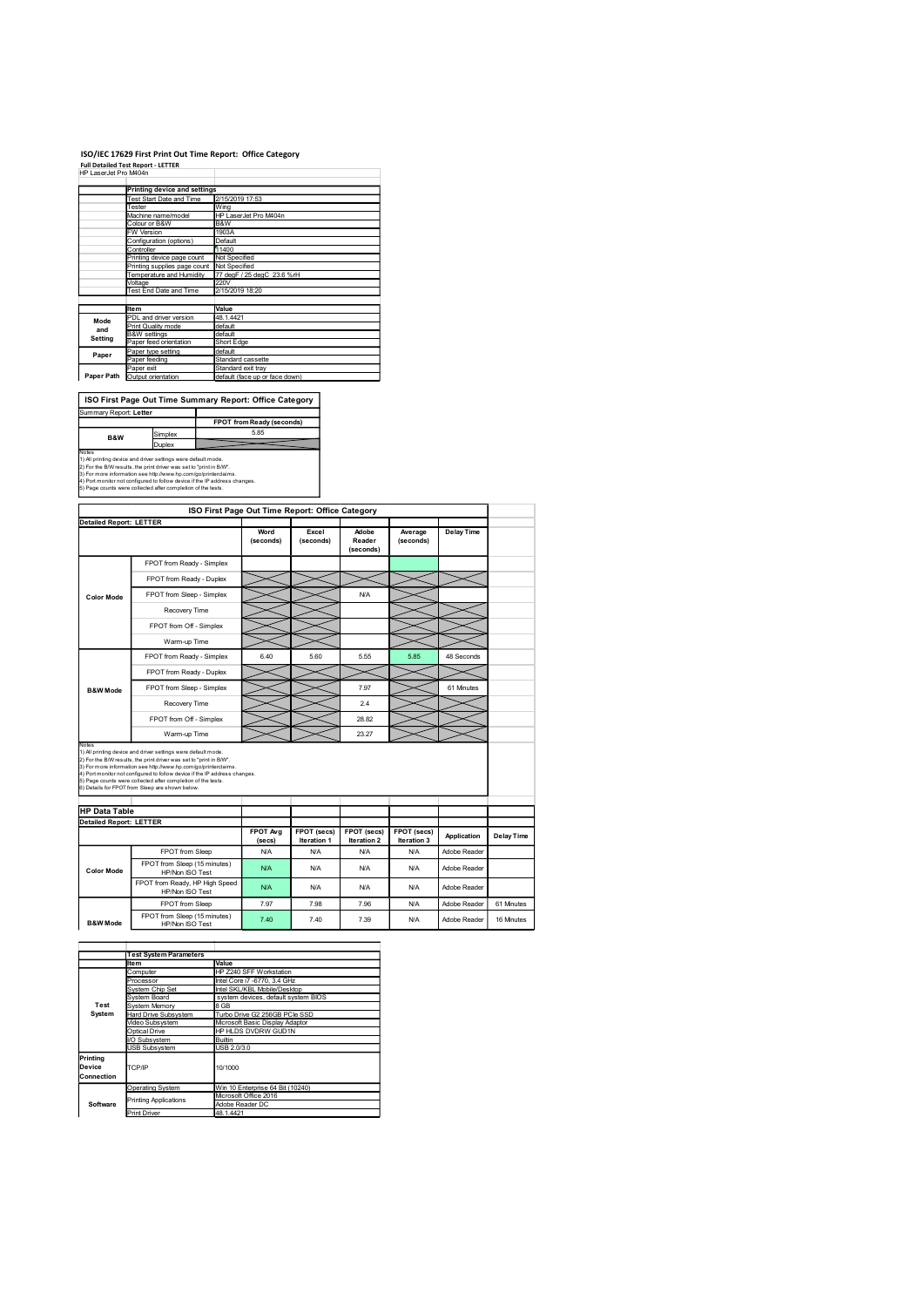### ISO/IEC 17629 First Print Out Time Report: Office Category

|                                 |                                               | ISO/IEC 17629 First Print Out Time Report: Office Category |
|---------------------------------|-----------------------------------------------|------------------------------------------------------------|
|                                 | <b>Full Detailed Test Report - LETTER</b>     |                                                            |
| HP LaserJet Pro M404n           |                                               |                                                            |
|                                 | <b>Printing device and settings</b>           |                                                            |
|                                 | Test Start Date and Time                      | 2/15/2019 17:53                                            |
|                                 | Tester<br>Machine name/model                  | Wing<br>HP LaserJet Pro M404n                              |
|                                 | Colour or B&W                                 | B&W                                                        |
|                                 | W Version<br>Configuration (options)          | 1903A<br>Default                                           |
|                                 |                                               |                                                            |
|                                 | Controller                                    | 11400                                                      |
|                                 | Printing device page count                    | Not Specified                                              |
|                                 | Printing supplies page count                  | Not Specified                                              |
|                                 | Temperature and Humidity<br>Voltage           | 77 degF / 25 degC 23.6 %rH<br>220V                         |
|                                 | Test End Date and Time                        | 2/15/2019 18:20                                            |
|                                 | <b>Item</b>                                   | Value                                                      |
| Mode                            | PDL and driver version                        | 48.1.4421                                                  |
| and                             | Print Quality mode<br><b>B&amp;W</b> settings | default<br>default                                         |
| Setting                         | Paper feed orientation                        | Short Edge                                                 |
| Paper                           | Paper type setting                            | default                                                    |
|                                 | Paper feeding<br>Paper exit                   | Standard cassette<br>Standard exit tray                    |
|                                 | Paper Path Output orientation                 | default (face up or face down)                             |
|                                 |                                               |                                                            |
|                                 |                                               | ISO First Page Out Time Summary Report: Office Category    |
|                                 |                                               |                                                            |
|                                 |                                               | FPOT from Ready (seconds)                                  |
| B&W                             | Simplex                                       | 5.85                                                       |
| Summary Report: Letter<br>Notes | Duplex                                        |                                                            |

| ISO First Page Out Time Report: Office Category              |  |
|--------------------------------------------------------------|--|
|                                                              |  |
| 5) Page counts were collected after completion of the tests. |  |

|                                | <b>Printing device and settings</b>                                                                                                           |                                |                                                                  |             |                     |             |              |            |
|--------------------------------|-----------------------------------------------------------------------------------------------------------------------------------------------|--------------------------------|------------------------------------------------------------------|-------------|---------------------|-------------|--------------|------------|
|                                | est Start Date and Time                                                                                                                       | 2/15/2019 17:53                |                                                                  |             |                     |             |              |            |
|                                | Tester<br>Machine name/model                                                                                                                  | Wing                           | HP LaserJet Pro M404n                                            |             |                     |             |              |            |
|                                | Colour or B&W<br>FW Version                                                                                                                   | B&W<br>1903A                   |                                                                  |             |                     |             |              |            |
|                                | Configuration (options)<br>Controller                                                                                                         | <b>Default</b><br>11400        |                                                                  |             |                     |             |              |            |
|                                | Printing device page count                                                                                                                    | Not Specified<br>Not Specified |                                                                  |             |                     |             |              |            |
|                                | Printing supplies page count<br>Temperature and Humidity                                                                                      | 220V                           | 77 degF / 25 degC 23.6 %rH                                       |             |                     |             |              |            |
|                                | Voltage<br>Test End Date and Time                                                                                                             | 2/15/2019 18:20                |                                                                  |             |                     |             |              |            |
|                                | <b>Item</b>                                                                                                                                   | Value                          |                                                                  |             |                     |             |              |            |
| Mode                           | PDL and driver version<br>Print Quality mode                                                                                                  | 48.1.4421<br>default           |                                                                  |             |                     |             |              |            |
| and<br>Setting                 | <b>B&amp;W</b> settings<br>Paper feed orientation                                                                                             | default<br>Short Edge          |                                                                  |             |                     |             |              |            |
| Paper                          | Paper type setting                                                                                                                            | default                        |                                                                  |             |                     |             |              |            |
|                                | Paper feeding<br>Paper exit                                                                                                                   |                                | Standard cassette<br>Standard exit tray                          |             |                     |             |              |            |
|                                | Paper Path Output orientation                                                                                                                 |                                | default (face up or face down)                                   |             |                     |             |              |            |
|                                | ISO First Page Out Time Summary Report: Office Category                                                                                       |                                |                                                                  |             |                     |             |              |            |
| Summary Report: Letter         |                                                                                                                                               |                                |                                                                  |             |                     |             |              |            |
|                                |                                                                                                                                               |                                | FPOT from Ready (seconds)<br>5.85                                |             |                     |             |              |            |
| B&W                            | Simplex<br>Duplex                                                                                                                             |                                |                                                                  |             |                     |             |              |            |
| Notes                          | 1) All printing device and driver settings were default mode.                                                                                 |                                |                                                                  |             |                     |             |              |            |
|                                | 2) For the B/W results, the print driver was set to "print in B/W".<br>3) For more information see http://www.hp.com/go/printerclaims.        |                                |                                                                  |             |                     |             |              |            |
|                                | 4) Port monitor not configured to follow device if the IP address changes.<br>5) Page counts were collected after completion of the tests.    |                                |                                                                  |             |                     |             |              |            |
|                                |                                                                                                                                               |                                |                                                                  |             |                     |             |              |            |
| <b>Detailed Report: LETTER</b> |                                                                                                                                               |                                | ISO First Page Out Time Report: Office Category                  |             |                     |             |              |            |
|                                |                                                                                                                                               |                                | Word                                                             | Excel       | Adobe               | Average     | Delay Time   |            |
|                                |                                                                                                                                               |                                | (seconds)                                                        | (seconds)   | Reader<br>(seconds) | (seconds)   |              |            |
|                                | FPOT from Ready - Simplex                                                                                                                     |                                |                                                                  |             |                     |             |              |            |
|                                | FPOT from Ready - Duplex                                                                                                                      |                                |                                                                  |             |                     |             |              |            |
| <b>Color Mode</b>              | FPOT from Sleep - Simplex                                                                                                                     |                                |                                                                  |             | N/A                 |             |              |            |
|                                | Recovery Time                                                                                                                                 |                                |                                                                  |             |                     |             |              |            |
|                                | FPOT from Off - Simplex                                                                                                                       |                                |                                                                  |             |                     |             |              |            |
|                                | Warm-up Time                                                                                                                                  |                                |                                                                  |             |                     |             |              |            |
|                                | FPOT from Ready - Simplex                                                                                                                     |                                | 6.40                                                             | 5.60        | 5.55                | 5.85        | 48 Seconds   |            |
|                                | FPOT from Ready - Duplex                                                                                                                      |                                |                                                                  |             |                     |             |              |            |
|                                | FPOT from Sleep - Simplex                                                                                                                     |                                |                                                                  |             | 7.97                |             | 61 Minutes   |            |
| <b>B&amp;W Mode</b>            |                                                                                                                                               |                                |                                                                  |             |                     |             |              |            |
|                                | Recovery Time                                                                                                                                 |                                |                                                                  |             | 2.4                 |             |              |            |
|                                | FPOT from Off - Simplex                                                                                                                       |                                |                                                                  |             | 28.82               |             |              |            |
| Notes                          | Warm-up Time                                                                                                                                  |                                |                                                                  |             | 23.27               |             |              |            |
|                                | 1) All printing device and driver settings were default mode.<br>2) For the B/W results, the print driver was set to "print in B/W".          |                                |                                                                  |             |                     |             |              |            |
|                                | 3) For more information see http://www.hp.com/go/printerclaims.<br>4) Port monitor not configured to follow device if the IP address changes. |                                |                                                                  |             |                     |             |              |            |
|                                | 5) Page counts were collected after completion of the tests.<br>6) Details for FPOT from Sleep are shown below.                               |                                |                                                                  |             |                     |             |              |            |
|                                |                                                                                                                                               |                                |                                                                  |             |                     |             |              |            |
| <b>HP Data Table</b>           |                                                                                                                                               |                                |                                                                  |             |                     |             |              |            |
| <b>Detailed Report: LETTER</b> |                                                                                                                                               |                                | FPOT Avg                                                         | FPOT (secs) | FPOT (secs)         | FPOT (secs) |              |            |
|                                |                                                                                                                                               |                                | (secs)                                                           | Iteration 1 | Iteration 2         | Iteration 3 | Application  | Delay Time |
|                                | FPOT from Sleep<br>FPOT from Sleep (15 minutes)                                                                                               |                                | <b>N/A</b>                                                       | <b>N/A</b>  | <b>N/A</b>          | <b>N/A</b>  | Adobe Reader |            |
| <b>Color Mode</b>              | HP/Non ISO Test                                                                                                                               |                                | <b>N/A</b>                                                       | <b>N/A</b>  | N/A                 | <b>N/A</b>  | Adobe Reader |            |
|                                | FPO I from Ready, HP High Speed<br>HP/Non ISO Test                                                                                            |                                | <b>N/A</b>                                                       | <b>N/A</b>  | N/A                 | <b>N/A</b>  | Adobe Reader |            |
|                                | FPOT from Sleep                                                                                                                               |                                | 7.97                                                             | 7.98        | 7.96                | <b>N/A</b>  | Adobe Reader | 61 Minutes |
| <b>B&amp;W</b> Mode            | FPOT from Sleep (15 minutes)<br>HP/Non ISO Test                                                                                               |                                | 7.40                                                             | 7.40        | 7.39                | <b>N/A</b>  | Adobe Reader | 16 Minutes |
|                                |                                                                                                                                               |                                |                                                                  |             |                     |             |              |            |
|                                |                                                                                                                                               |                                |                                                                  |             |                     |             |              |            |
|                                | <b>Test System Parameters</b><br><b>Item</b>                                                                                                  | Value                          |                                                                  |             |                     |             |              |            |
|                                | Computer<br>Processor                                                                                                                         |                                | HP Z240 SFF Workstation<br>Intel Core i7 -6770, 3.4 GHz          |             |                     |             |              |            |
|                                | System Chip Set<br>System Board                                                                                                               |                                | Intel SKL/KBL Mobile/Desktop                                     |             |                     |             |              |            |
| Test                           | System Memory                                                                                                                                 | 8 GB                           | system devices, default system BIOS                              |             |                     |             |              |            |
| System                         | Hard Drive Subsystem<br>Video Subsystem                                                                                                       |                                | Turbo Drive G2 256GB PCle SSD<br>Microsoft Basic Display Adaptor |             |                     |             |              |            |
|                                | Optical Drive<br>I/O Subsystem                                                                                                                | Builtin                        | HP HLDS DVDRW GUD1N                                              |             |                     |             |              |            |
|                                | <b>USB Subsystem</b>                                                                                                                          | USB 2.0/3.0                    |                                                                  |             |                     |             |              |            |
| Printing<br>Device             | TCP/IP                                                                                                                                        | 10/1000                        |                                                                  |             |                     |             |              |            |
| Connection                     |                                                                                                                                               |                                |                                                                  |             |                     |             |              |            |
|                                | Operating System<br>Printing Applications                                                                                                     |                                | Win 10 Enterprise 64 Bit (10240)<br>Microsoft Office 2016        |             |                     |             |              |            |
| Software                       | <b>Print Driver</b>                                                                                                                           | 48.1.4421                      | Adobe Reader DC                                                  |             |                     |             |              |            |
|                                |                                                                                                                                               |                                |                                                                  |             |                     |             |              |            |
|                                |                                                                                                                                               |                                |                                                                  |             |                     |             |              |            |
|                                |                                                                                                                                               |                                |                                                                  |             |                     |             |              |            |
|                                |                                                                                                                                               |                                |                                                                  |             |                     |             |              |            |
|                                |                                                                                                                                               |                                |                                                                  |             |                     |             |              |            |
|                                |                                                                                                                                               |                                |                                                                  |             |                     |             |              |            |
|                                |                                                                                                                                               |                                |                                                                  |             |                     |             |              |            |

|                                  | <b>Test System Parameters</b> |                                          |  |  |  |
|----------------------------------|-------------------------------|------------------------------------------|--|--|--|
|                                  | Item                          | Value                                    |  |  |  |
|                                  | Computer                      | HP Z240 SFF Workstation                  |  |  |  |
|                                  | Processor                     | Intel Core i7 -6770, 3.4 GHz             |  |  |  |
|                                  | System Chip Set               | Intel SKL/KBL Mobile/Desktop             |  |  |  |
|                                  | System Board                  | system devices, default system BIOS      |  |  |  |
| Test                             | <b>System Memory</b>          | 8 GB                                     |  |  |  |
| System                           | Hard Drive Subsystem          | Turbo Drive G2 256GB PCIe SSD            |  |  |  |
|                                  | Video Subsystem               | Microsoft Basic Display Adaptor          |  |  |  |
|                                  | Optical Drive                 | HP HLDS DVDRW GUD1N                      |  |  |  |
|                                  | I/O Subsystem                 | <b>Builtin</b>                           |  |  |  |
|                                  | <b>USB Subsystem</b>          | USB 2.0/3.0                              |  |  |  |
| Printing<br>Device<br>Connection | TCP/IP                        | 10/1000                                  |  |  |  |
|                                  | Operating System              | Win 10 Enterprise 64 Bit (10240)         |  |  |  |
| Software                         | <b>Printing Applications</b>  | Microsoft Office 2016<br>Adobe Reader DC |  |  |  |
|                                  | <b>Print Driver</b>           | 48.1.4421                                |  |  |  |